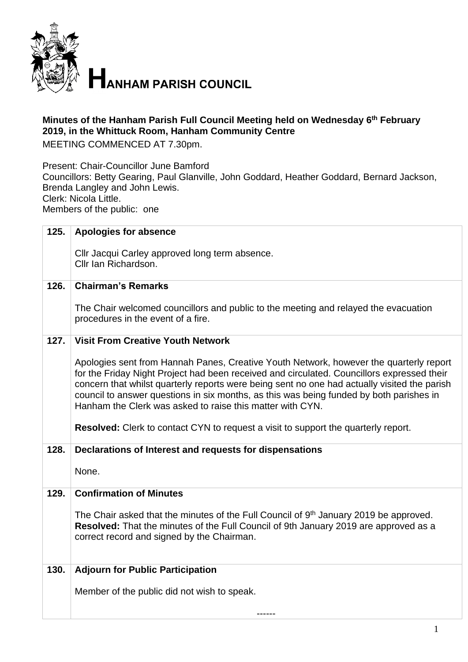

## **Minutes of the Hanham Parish Full Council Meeting held on Wednesday 6 th February 2019, in the Whittuck Room, Hanham Community Centre**

MEETING COMMENCED AT 7.30pm.

Present: Chair-Councillor June Bamford Councillors: Betty Gearing, Paul Glanville, John Goddard, Heather Goddard, Bernard Jackson, Brenda Langley and John Lewis. Clerk: Nicola Little. Members of the public: one

| 125. | <b>Apologies for absence</b>                                                                                                                                                                                                                                                                                                                                                                                                                                                                                                              |  |  |
|------|-------------------------------------------------------------------------------------------------------------------------------------------------------------------------------------------------------------------------------------------------------------------------------------------------------------------------------------------------------------------------------------------------------------------------------------------------------------------------------------------------------------------------------------------|--|--|
|      | Cllr Jacqui Carley approved long term absence.<br>Cllr Ian Richardson.                                                                                                                                                                                                                                                                                                                                                                                                                                                                    |  |  |
| 126. | <b>Chairman's Remarks</b>                                                                                                                                                                                                                                                                                                                                                                                                                                                                                                                 |  |  |
|      | The Chair welcomed councillors and public to the meeting and relayed the evacuation<br>procedures in the event of a fire.                                                                                                                                                                                                                                                                                                                                                                                                                 |  |  |
| 127. | <b>Visit From Creative Youth Network</b>                                                                                                                                                                                                                                                                                                                                                                                                                                                                                                  |  |  |
|      | Apologies sent from Hannah Panes, Creative Youth Network, however the quarterly report<br>for the Friday Night Project had been received and circulated. Councillors expressed their<br>concern that whilst quarterly reports were being sent no one had actually visited the parish<br>council to answer questions in six months, as this was being funded by both parishes in<br>Hanham the Clerk was asked to raise this matter with CYN.<br><b>Resolved:</b> Clerk to contact CYN to request a visit to support the quarterly report. |  |  |
| 128. | Declarations of Interest and requests for dispensations                                                                                                                                                                                                                                                                                                                                                                                                                                                                                   |  |  |
|      | None.                                                                                                                                                                                                                                                                                                                                                                                                                                                                                                                                     |  |  |
| 129. | <b>Confirmation of Minutes</b>                                                                                                                                                                                                                                                                                                                                                                                                                                                                                                            |  |  |
|      | The Chair asked that the minutes of the Full Council of 9 <sup>th</sup> January 2019 be approved.<br>Resolved: That the minutes of the Full Council of 9th January 2019 are approved as a<br>correct record and signed by the Chairman.                                                                                                                                                                                                                                                                                                   |  |  |
| 130. | <b>Adjourn for Public Participation</b>                                                                                                                                                                                                                                                                                                                                                                                                                                                                                                   |  |  |
|      | Member of the public did not wish to speak.                                                                                                                                                                                                                                                                                                                                                                                                                                                                                               |  |  |
|      |                                                                                                                                                                                                                                                                                                                                                                                                                                                                                                                                           |  |  |
|      |                                                                                                                                                                                                                                                                                                                                                                                                                                                                                                                                           |  |  |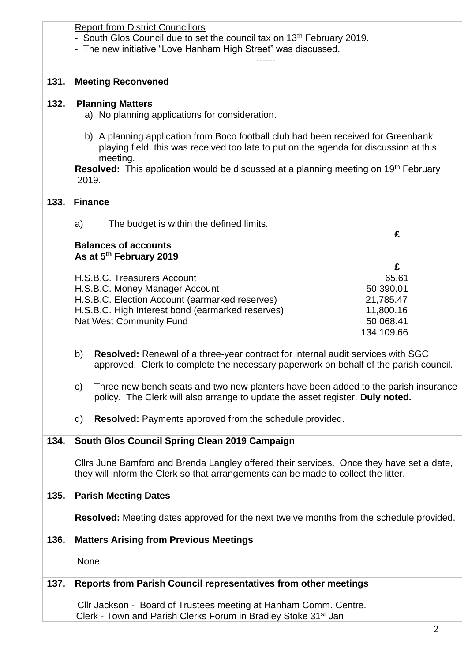|                                     | <b>Report from District Councillors</b>                                                                 |            |  |
|-------------------------------------|---------------------------------------------------------------------------------------------------------|------------|--|
|                                     | - South Glos Council due to set the council tax on 13 <sup>th</sup> February 2019.                      |            |  |
|                                     | - The new initiative "Love Hanham High Street" was discussed.                                           |            |  |
|                                     |                                                                                                         |            |  |
|                                     |                                                                                                         |            |  |
| 131.                                | <b>Meeting Reconvened</b>                                                                               |            |  |
|                                     |                                                                                                         |            |  |
| 132.                                | <b>Planning Matters</b>                                                                                 |            |  |
|                                     | a) No planning applications for consideration.                                                          |            |  |
|                                     |                                                                                                         |            |  |
|                                     | b) A planning application from Boco football club had been received for Greenbank                       |            |  |
|                                     | playing field, this was received too late to put on the agenda for discussion at this                   |            |  |
|                                     | meeting.                                                                                                |            |  |
|                                     | <b>Resolved:</b> This application would be discussed at a planning meeting on 19 <sup>th</sup> February |            |  |
|                                     | 2019.                                                                                                   |            |  |
|                                     |                                                                                                         |            |  |
| 133.                                | <b>Finance</b>                                                                                          |            |  |
|                                     |                                                                                                         |            |  |
|                                     | The budget is within the defined limits.<br>a)                                                          | £          |  |
|                                     | <b>Balances of accounts</b>                                                                             |            |  |
|                                     | As at 5th February 2019                                                                                 |            |  |
|                                     |                                                                                                         | £          |  |
|                                     | H.S.B.C. Treasurers Account                                                                             | 65.61      |  |
|                                     | H.S.B.C. Money Manager Account                                                                          | 50,390.01  |  |
|                                     | H.S.B.C. Election Account (earmarked reserves)                                                          | 21,785.47  |  |
|                                     | H.S.B.C. High Interest bond (earmarked reserves)                                                        | 11,800.16  |  |
|                                     | <b>Nat West Community Fund</b>                                                                          | 50,068.41  |  |
|                                     |                                                                                                         | 134,109.66 |  |
|                                     |                                                                                                         |            |  |
|                                     | <b>Resolved:</b> Renewal of a three-year contract for internal audit services with SGC<br>b)            |            |  |
|                                     | approved. Clerk to complete the necessary paperwork on behalf of the parish council.                    |            |  |
|                                     |                                                                                                         |            |  |
|                                     | Three new bench seats and two new planters have been added to the parish insurance<br>$\mathsf{C}$      |            |  |
|                                     | policy. The Clerk will also arrange to update the asset register. Duly noted.                           |            |  |
|                                     |                                                                                                         |            |  |
|                                     | <b>Resolved:</b> Payments approved from the schedule provided.<br>d)                                    |            |  |
|                                     |                                                                                                         |            |  |
| 134.                                | South Glos Council Spring Clean 2019 Campaign                                                           |            |  |
|                                     |                                                                                                         |            |  |
|                                     | Clirs June Bamford and Brenda Langley offered their services. Once they have set a date,                |            |  |
|                                     | they will inform the Clerk so that arrangements can be made to collect the litter.                      |            |  |
|                                     |                                                                                                         |            |  |
| <b>Parish Meeting Dates</b><br>135. |                                                                                                         |            |  |
|                                     |                                                                                                         |            |  |
|                                     | <b>Resolved:</b> Meeting dates approved for the next twelve months from the schedule provided.          |            |  |
| 136.                                | <b>Matters Arising from Previous Meetings</b>                                                           |            |  |
|                                     | None.                                                                                                   |            |  |
|                                     |                                                                                                         |            |  |
|                                     |                                                                                                         |            |  |
| 137.                                | Reports from Parish Council representatives from other meetings                                         |            |  |
|                                     |                                                                                                         |            |  |
|                                     | Cllr Jackson - Board of Trustees meeting at Hanham Comm. Centre.                                        |            |  |
|                                     | Clerk - Town and Parish Clerks Forum in Bradley Stoke 31 <sup>st</sup> Jan                              |            |  |